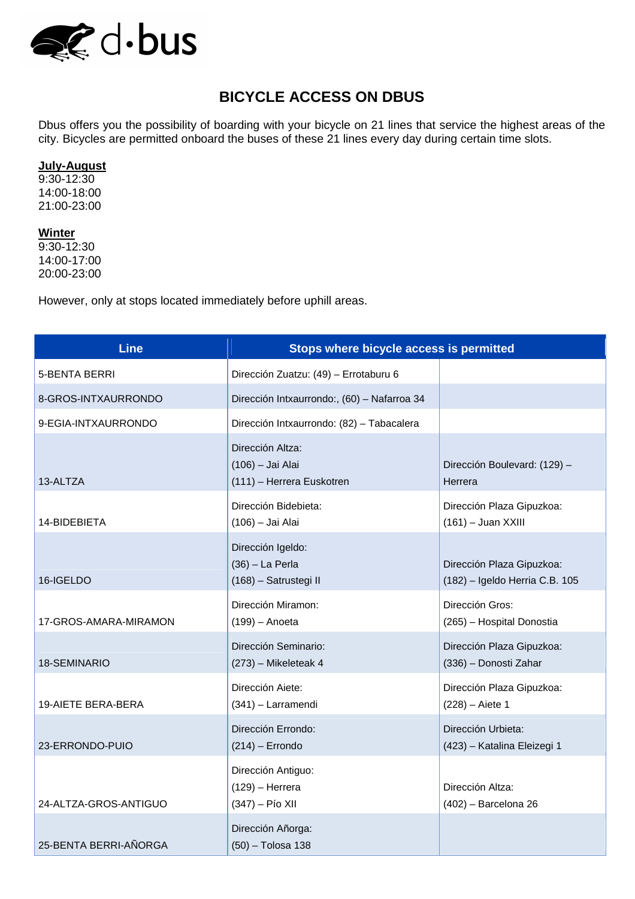

## **BICYCLE ACCESS ON DBUS**

Dbus offers you the possibility of boarding with your bicycle on 21 lines that service the highest areas of the city. Bicycles are permitted onboard the buses of these 21 lines every day during certain time slots.

## **July-August**

9:30-12:30 14:00-18:00 21:00-23:00

## **Winter**

9:30-12:30 14:00-17:00 20:00-23:00

However, only at stops located immediately before uphill areas.

| <b>Line</b>               | Stops where bicycle access is permitted                           |                                                             |
|---------------------------|-------------------------------------------------------------------|-------------------------------------------------------------|
| 5-BENTA BERRI             | Dirección Zuatzu: (49) - Errotaburu 6                             |                                                             |
| 8-GROS-INTXAURRONDO       | Dirección Intxaurrondo:, (60) - Nafarroa 34                       |                                                             |
| 9-EGIA-INTXAURRONDO       | Dirección Intxaurrondo: (82) - Tabacalera                         |                                                             |
| 13-ALTZA                  | Dirección Altza:<br>(106) - Jai Alai<br>(111) - Herrera Euskotren | Dirección Boulevard: (129) -<br>Herrera                     |
| 14-BIDEBIETA              | Dirección Bidebieta:<br>(106) - Jai Alai                          | Dirección Plaza Gipuzkoa:<br>$(161)$ – Juan XXIII           |
| 16-IGELDO                 | Dirección Igeldo:<br>$(36)$ - La Perla<br>(168) - Satrustegi II   | Dirección Plaza Gipuzkoa:<br>(182) - Igeldo Herria C.B. 105 |
| 17-GROS-AMARA-MIRAMON     | Dirección Miramon:<br>$(199)$ - Anoeta                            | Dirección Gros:<br>(265) - Hospital Donostia                |
| 18-SEMINARIO              | Dirección Seminario:<br>(273) - Mikeleteak 4                      | Dirección Plaza Gipuzkoa:<br>(336) - Donosti Zahar          |
| <b>19-AIETE BERA-BERA</b> | Dirección Aiete:<br>(341) - Larramendi                            | Dirección Plaza Gipuzkoa:<br>$(228) - Aiete 1$              |
| 23-ERRONDO-PUIO           | Dirección Errondo:<br>$(214)$ - Errondo                           | Dirección Urbieta:<br>(423) - Katalina Eleizegi 1           |
| 24-ALTZA-GROS-ANTIGUO     | Dirección Antiguo:<br>$(129)$ - Herrera<br>(347) - Pío XII        | Dirección Altza:<br>$(402)$ - Barcelona 26                  |
| 25-BENTA BERRI-AÑORGA     | Dirección Añorga:<br>(50) - Tolosa 138                            |                                                             |